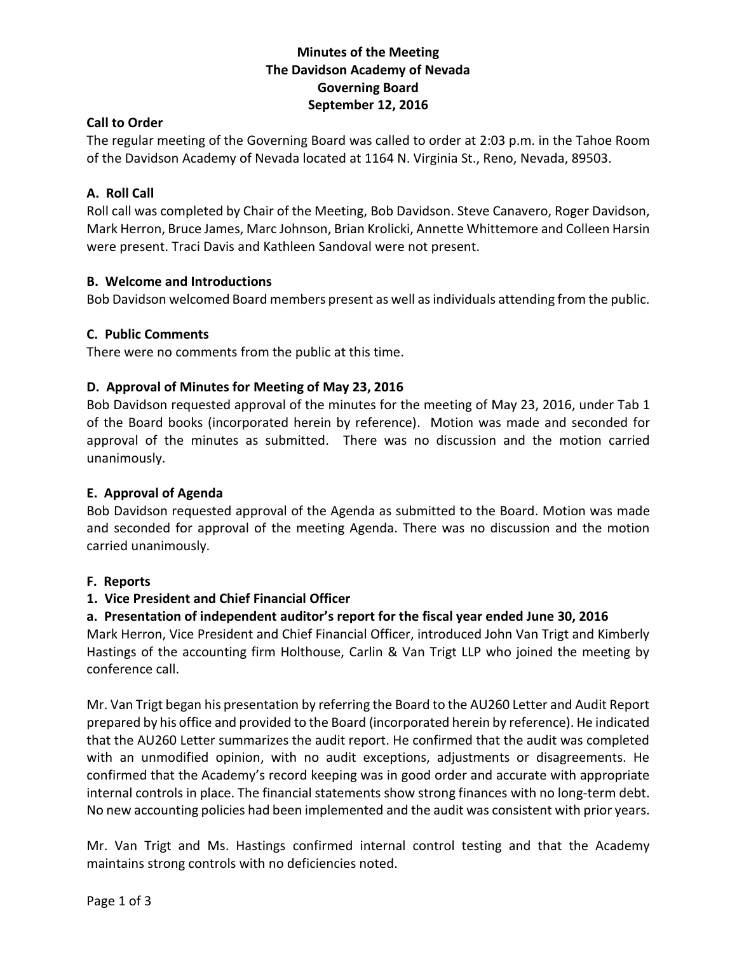# **Minutes of the Meeting The Davidson Academy of Nevada Governing Board September 12, 2016**

### **Call to Order**

The regular meeting of the Governing Board was called to order at 2:03 p.m. in the Tahoe Room of the Davidson Academy of Nevada located at 1164 N. Virginia St., Reno, Nevada, 89503.

### **A. Roll Call**

Roll call was completed by Chair of the Meeting, Bob Davidson. Steve Canavero, Roger Davidson, Mark Herron, Bruce James, Marc Johnson, Brian Krolicki, Annette Whittemore and Colleen Harsin were present. Traci Davis and Kathleen Sandoval were not present.

### **B. Welcome and Introductions**

Bob Davidson welcomed Board members present as well as individuals attending from the public.

### **C. Public Comments**

There were no comments from the public at this time.

### **D. Approval of Minutes for Meeting of May 23, 2016**

Bob Davidson requested approval of the minutes for the meeting of May 23, 2016, under Tab 1 of the Board books (incorporated herein by reference). Motion was made and seconded for approval of the minutes as submitted. There was no discussion and the motion carried unanimously.

### **E. Approval of Agenda**

Bob Davidson requested approval of the Agenda as submitted to the Board. Motion was made and seconded for approval of the meeting Agenda. There was no discussion and the motion carried unanimously.

#### **F. Reports**

### **1. Vice President and Chief Financial Officer**

### **a. Presentation of independent auditor's report for the fiscal year ended June 30, 2016**

Mark Herron, Vice President and Chief Financial Officer, introduced John Van Trigt and Kimberly Hastings of the accounting firm Holthouse, Carlin & Van Trigt LLP who joined the meeting by conference call.

Mr. Van Trigt began his presentation by referring the Board to the AU260 Letter and Audit Report prepared by his office and provided to the Board (incorporated herein by reference). He indicated that the AU260 Letter summarizes the audit report. He confirmed that the audit was completed with an unmodified opinion, with no audit exceptions, adjustments or disagreements. He confirmed that the Academy's record keeping was in good order and accurate with appropriate internal controls in place. The financial statements show strong finances with no long-term debt. No new accounting policies had been implemented and the audit was consistent with prior years.

Mr. Van Trigt and Ms. Hastings confirmed internal control testing and that the Academy maintains strong controls with no deficiencies noted.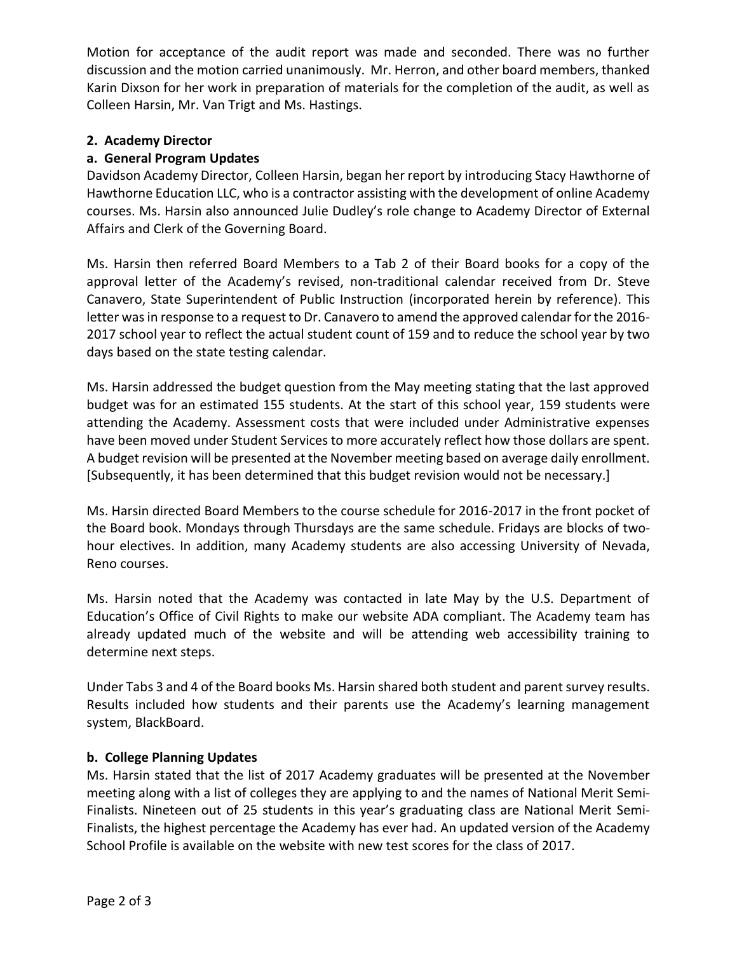Motion for acceptance of the audit report was made and seconded. There was no further discussion and the motion carried unanimously. Mr. Herron, and other board members, thanked Karin Dixson for her work in preparation of materials for the completion of the audit, as well as Colleen Harsin, Mr. Van Trigt and Ms. Hastings.

## **2. Academy Director**

### **a. General Program Updates**

Davidson Academy Director, Colleen Harsin, began her report by introducing Stacy Hawthorne of Hawthorne Education LLC, who is a contractor assisting with the development of online Academy courses. Ms. Harsin also announced Julie Dudley's role change to Academy Director of External Affairs and Clerk of the Governing Board.

Ms. Harsin then referred Board Members to a Tab 2 of their Board books for a copy of the approval letter of the Academy's revised, non-traditional calendar received from Dr. Steve Canavero, State Superintendent of Public Instruction (incorporated herein by reference). This letter was in response to a request to Dr. Canavero to amend the approved calendar for the 2016- 2017 school year to reflect the actual student count of 159 and to reduce the school year by two days based on the state testing calendar.

Ms. Harsin addressed the budget question from the May meeting stating that the last approved budget was for an estimated 155 students. At the start of this school year, 159 students were attending the Academy. Assessment costs that were included under Administrative expenses have been moved under Student Services to more accurately reflect how those dollars are spent. A budget revision will be presented at the November meeting based on average daily enrollment. [Subsequently, it has been determined that this budget revision would not be necessary.]

Ms. Harsin directed Board Members to the course schedule for 2016-2017 in the front pocket of the Board book. Mondays through Thursdays are the same schedule. Fridays are blocks of twohour electives. In addition, many Academy students are also accessing University of Nevada, Reno courses.

Ms. Harsin noted that the Academy was contacted in late May by the U.S. Department of Education's Office of Civil Rights to make our website ADA compliant. The Academy team has already updated much of the website and will be attending web accessibility training to determine next steps.

Under Tabs 3 and 4 of the Board books Ms. Harsin shared both student and parent survey results. Results included how students and their parents use the Academy's learning management system, BlackBoard.

### **b. College Planning Updates**

Ms. Harsin stated that the list of 2017 Academy graduates will be presented at the November meeting along with a list of colleges they are applying to and the names of National Merit Semi-Finalists. Nineteen out of 25 students in this year's graduating class are National Merit Semi-Finalists, the highest percentage the Academy has ever had. An updated version of the Academy School Profile is available on the website with new test scores for the class of 2017.